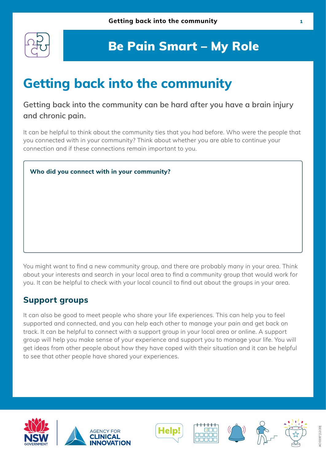

# **Getting back into the community**

### **Getting back into the community can be hard after you have a brain injury and chronic pain.**

It can be helpful to think about the community ties that you had before. Who were the people that you connected with in your community? Think about whether you are able to continue your connection and if these connections remain important to you.

## **Who did you connect with in your community?**

You might want to find a new community group, and there are probably many in your area. Think about your interests and search in your local area to find a community group that would work for you. It can be helpful to check with your local council to find out about the groups in your area.

### **Support groups**

It can also be good to meet people who share your life experiences. This can help you to feel supported and connected, and you can help each other to manage your pain and get back on track. It can be helpful to connect with a support group in your local area or online. A support group will help you make sense of your experience and support you to manage your life. You will get ideas from other people about how they have coped with their situation and it can be helpful to see that other people have shared your experiences.











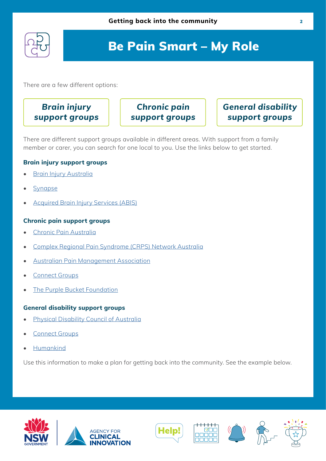

There are a few different options:

## **Brain injury support groups**

**Chronic pain support groups** **General disability support groups**

There are different support groups available in different areas. With support from a family member or carer, you can search for one local to you. Use the links below to get started.

#### **Brain injury support groups**

- **[Brain Injury Australia](https://www.braininjuryaustralia.org.au/)**
- **[Synapse](https://synapse.org.au/)**
- Acquired Brain Injury Services (ABIS)

#### **Chronic pain support groups**

- [Chronic Pain Australia](https://www.chronicpainaustralia.org.au/index.php/component/content/article?id=66:supportgroups)
- [Complex Regional Pain Syndrome \(CRPS\) Network Australia](https://crpsnetworkaustralia.org.au/?fbclid=IwAR0fNvhQG8y677sl5A1aQ9EfnsURSk08n9PUnad8TL0pdu-ZHrMFk01XN7w)
- [Australian Pain Management Association](https://www.painmanagement.org.au/images/painman/PDFs/APMA_Pain_Support_Groups.pdf)
- [Connect Groups](https://connectgroups.org.au/directorychronic/categories/chronic-pain)
- **[The Purple Bucket Foundation](https://www.tpbf.org.au/)**

#### **General disability support groups**

- **[Physical Disability Council of Australia](https://www.pdcnsw.org.au/)**
- [Connect Groups](https://connectgroups.org.au/directory/listing/fragile-x-association-of-australia-inc-1/nearby)
- [Humankind](https://www.humankind-relationships.com.au/)

Use this information to make a plan for getting back into the community. See the example below.











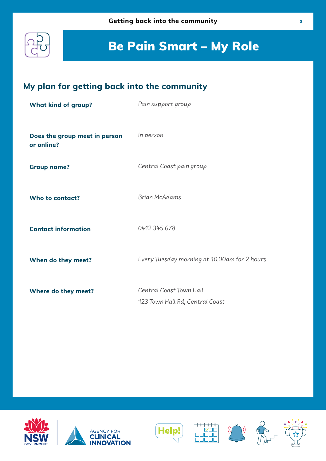

### **My plan for getting back into the community**

| <b>What kind of group?</b>                  | Pain support group                           |
|---------------------------------------------|----------------------------------------------|
|                                             |                                              |
| Does the group meet in person<br>or online? | In person                                    |
| <b>Group name?</b>                          | Central Coast pain group                     |
| Who to contact?                             | <b>Brian McAdams</b>                         |
| <b>Contact information</b>                  | 0412 345 678                                 |
| When do they meet?                          | Every Tuesday morning at 10.00am for 2 hours |
| Where do they meet?                         | Central Coast Town Hall                      |
|                                             | 123 Town Hall Rd, Central Coast              |